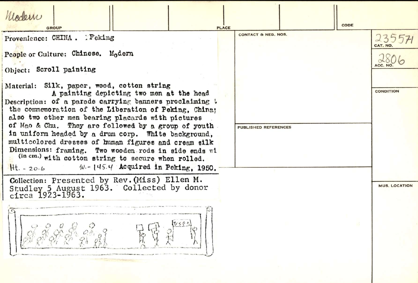Modern CODE **PLACE GROUP CONTACT & NEG. NOS.** 235571 Provenience: CHINA . Peking CAT. NO People or Culture: Chinese. Modern *i/'e-* **.1/ .**  Object: Scroll painting Material: Silk, paper, wood, cotton string A painting depicting two men at the head **CONDITION** Description: of a parade carrying banners proclaiming t the comnemoration of the Liberation of Peking, China; also two other men bearing placards with pictures of Mao & Chu. They are followed by a group of youth PUBLISHED REFERENCES in uniform headed by a drum corp. White background, multicolored dresses of human figures and cream silk Dimensions: framing. Two wooden rods in side ends wi (in cm.) with cotton string to secure when rolled.<br>  $Ht = 20.6$   $W = 145.4$  Acquired in Peking. 199  $w - 145.4$  Acquired in Peking, 1950. Collection: Presented by Rev. (Miss) Ellen M. Studley 5 August 1963. Collected by donor **MUS. LOCATION** circ a **1923-1963.**  gord gog